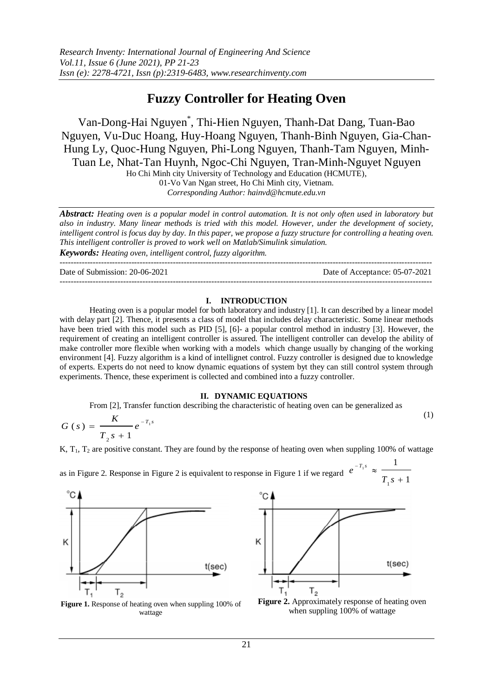# **Fuzzy Controller for Heating Oven**

Van-Dong-Hai Nguyen\* , Thi-Hien Nguyen, Thanh-Dat Dang, Tuan-Bao Nguyen, Vu-Duc Hoang, Huy-Hoang Nguyen, Thanh-Binh Nguyen, Gia-Chan-Hung Ly, Quoc-Hung Nguyen, Phi-Long Nguyen, Thanh-Tam Nguyen, Minh-Tuan Le, Nhat-Tan Huynh, Ngoc-Chi Nguyen, Tran-Minh-Nguyet Nguyen

Ho Chi Minh city University of Technology and Education (HCMUTE), 01-Vo Van Ngan street, Ho Chi Minh city, Vietnam. *Corresponding Author: hainvd@hcmute.edu.vn*

*Abstract: Heating oven is a popular model in control automation. It is not only often used in laboratory but also in industry. Many linear methods is tried with this model. However, under the development of society, intelligent control is focus day by day. In this paper, we propose a fuzzy structure for controlling a heating oven. This intelligent controller is proved to work well on Matlab/Simulink simulation.* 

*Keywords: Heating oven, intelligent control, fuzzy algorithm.* ---------------------------------------------------------------------------------------------------------------------------------------

Date of Submission: 20-06-2021 Date of Acceptance: 05-07-2021 ---------------------------------------------------------------------------------------------------------------------------------------

#### **I. INTRODUCTION**

Heating oven is a popular model for both laboratory and industry [1]. It can described by a linear model with delay part [2]. Thence, it presents a class of model that includes delay characteristic. Some linear methods have been tried with this model such as PID [5], [6]- a popular control method in industry [3]. However, the requirement of creating an intelligent controller is assured. The intelligent controller can develop the ability of make controller more flexible when working with a models which change usually by changing of the working environment [4]. Fuzzy algorithm is a kind of intellignet control. Fuzzy controller is designed due to knowledge of experts. Experts do not need to know dynamic equations of system byt they can still control system through experiments. Thence, these experiment is collected and combined into a fuzzy controller.

## <span id="page-0-2"></span>**II. DYNAMIC EQUATIONS**

From [2], Transfer function describing the characteristic of heating oven can be generalized as

$$
G(s) = \frac{K}{T_2 s + 1} e^{-T_1 s}
$$
 (1)

K,  $T_1$ ,  $T_2$  are positive constant. They are found by the response of heating oven when suppling 100% of wattage

as in [Figure 2.](#page-0-0) Response in [Figure 2](#page-0-0) is equivalent to response in [Figure 1](#page-0-1) if we regard *e* Ċ K K  $t(sec)$  $T_{2}$ 

<span id="page-0-1"></span>**Figure 1.** Response of heating oven when suppling 100% of wattage



1

 $\approx$ 

 $T<sub>1</sub>$  s

 $\overline{a}$ 

1

<span id="page-0-0"></span>**Figure 2.** Approximately response of heating oven when suppling 100% of wattage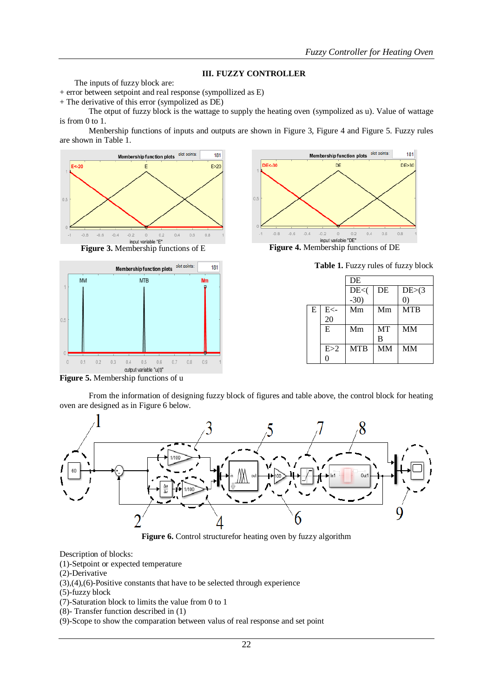# **III. FUZZY CONTROLLER**

The inputs of fuzzy block are:

+ error between setpoint and real response (sympollized as E)

+ The derivative of this error (sympolized as DE)

The otput of fuzzy block is the wattage to supply the heating oven (sympolized as u). Value of wattage is from 0 to 1.

Menbership functions of inputs and outputs are shown in [Figure 3,](#page-1-0) [Figure 4](#page-1-1) an[d Figure 5.](#page-1-2) Fuzzy rules are shown i[n Table 1.](#page-1-3)



<span id="page-1-0"></span>



<span id="page-1-3"></span><span id="page-1-1"></span>

**Table 1.** Fuzzy rules of fuzzy block

|   |                | DE         |           |            |
|---|----------------|------------|-----------|------------|
|   |                | DE<        | DE        | DE>(3)     |
|   |                | $-30)$     |           | O.         |
| E | $E<$ -         | Mm         | Mm        | <b>MTB</b> |
|   | $\frac{2}{20}$ |            |           |            |
|   | E              | Mm         | MT        | MM         |
|   |                |            | B         |            |
|   | E>2            | <b>MTB</b> | <b>MM</b> | MM         |
|   | 0              |            |           |            |

<span id="page-1-2"></span>**Figure 5.** Membership functions of u

From the information of designing fuzzy block of figures and table above, the control block for heating oven are designed as in [Figure 6](#page-1-4) below.



**Figure 6.** Control structurefor heating oven by fuzzy algorithm

<span id="page-1-4"></span>Description of blocks:

(1)-Setpoint or expected temperature

(2)-Derivative

(3),(4),(6)-Positive constants that have to be selected through experience

(5)-fuzzy block

(7)-Saturation block to limits the value from 0 to 1

(8)- Transfer function described in [\(1\)](#page-0-2)

(9)-Scope to show the comparation between valus of real response and set point